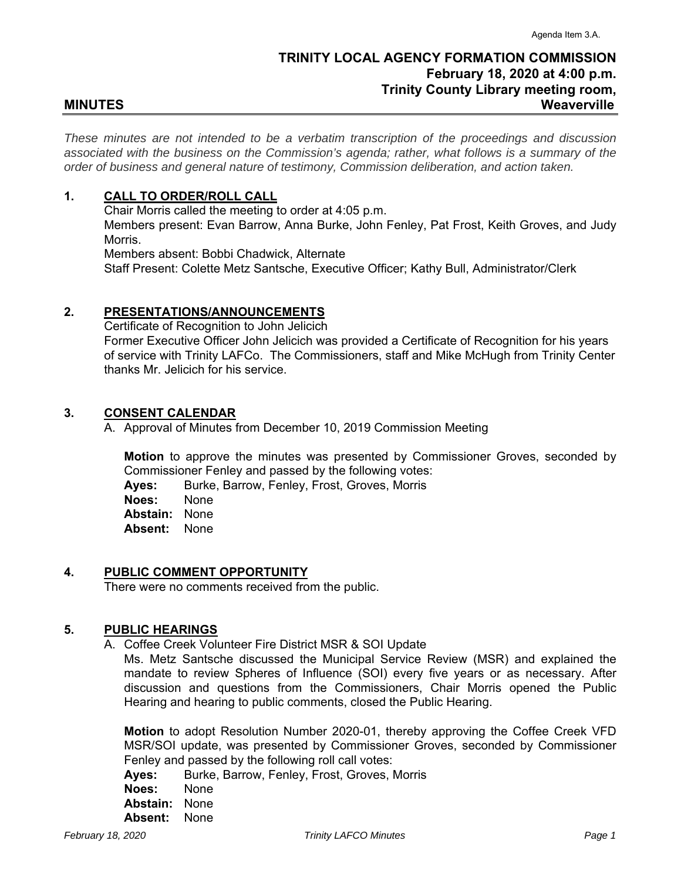# **TRINITY LOCAL AGENCY FORMATION COMMISSION February 18, 2020 at 4:00 p.m. Trinity County Library meeting room, MINUTES** Weaverville

*These minutes are not intended to be a verbatim transcription of the proceedings and discussion associated with the business on the Commission's agenda; rather, what follows is a summary of the order of business and general nature of testimony, Commission deliberation, and action taken.*

## **1. CALL TO ORDER/ROLL CALL**

Chair Morris called the meeting to order at 4:05 p.m.

Members present: Evan Barrow, Anna Burke, John Fenley, Pat Frost, Keith Groves, and Judy Morris.

Members absent: Bobbi Chadwick, Alternate

Staff Present: Colette Metz Santsche, Executive Officer; Kathy Bull, Administrator/Clerk

## **2. PRESENTATIONS/ANNOUNCEMENTS**

Certificate of Recognition to John Jelicich Former Executive Officer John Jelicich was provided a Certificate of Recognition for his years of service with Trinity LAFCo. The Commissioners, staff and Mike McHugh from Trinity Center thanks Mr. Jelicich for his service.

### **3. CONSENT CALENDAR**

A. Approval of Minutes from December 10, 2019 Commission Meeting

**Motion** to approve the minutes was presented by Commissioner Groves, seconded by Commissioner Fenley and passed by the following votes:

Ayes: Burke, Barrow, Fenley, Frost, Groves, Morris

**Noes:** None

**Abstain:** None

**Absent:** None

#### **4. PUBLIC COMMENT OPPORTUNITY**

There were no comments received from the public.

#### **5. PUBLIC HEARINGS**

A. Coffee Creek Volunteer Fire District MSR & SOI Update

Ms. Metz Santsche discussed the Municipal Service Review (MSR) and explained the mandate to review Spheres of Influence (SOI) every five years or as necessary. After discussion and questions from the Commissioners, Chair Morris opened the Public Hearing and hearing to public comments, closed the Public Hearing.

**Motion** to adopt Resolution Number 2020-01, thereby approving the Coffee Creek VFD MSR/SOI update, was presented by Commissioner Groves, seconded by Commissioner Fenley and passed by the following roll call votes:

Ayes: Burke, Barrow, Fenley, Frost, Groves, Morris

- **Noes:** None
- **Abstain:** None
- **Absent:** None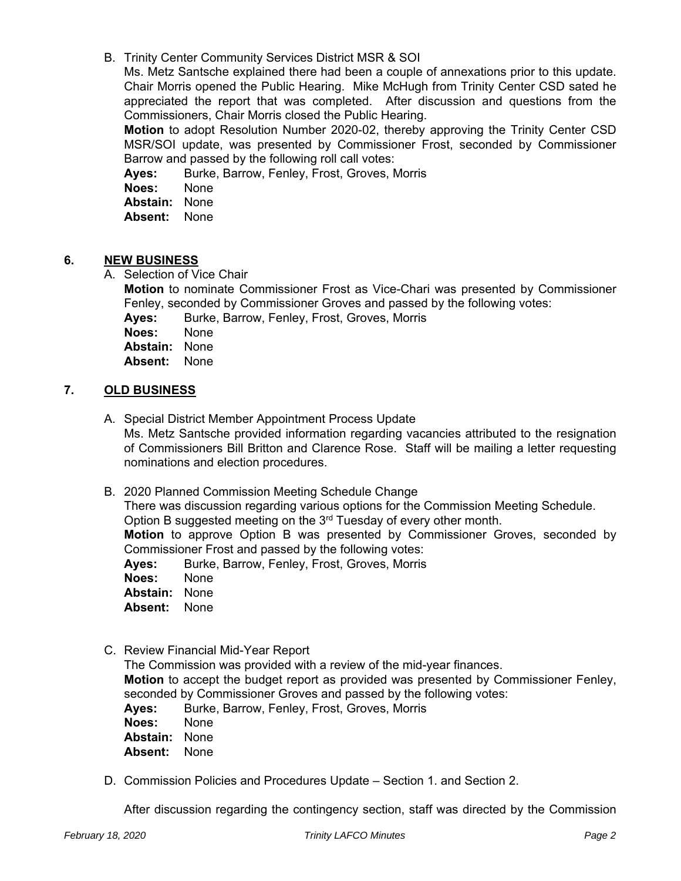B. Trinity Center Community Services District MSR & SOI

Ms. Metz Santsche explained there had been a couple of annexations prior to this update. Chair Morris opened the Public Hearing. Mike McHugh from Trinity Center CSD sated he appreciated the report that was completed. After discussion and questions from the Commissioners, Chair Morris closed the Public Hearing.

**Motion** to adopt Resolution Number 2020-02, thereby approving the Trinity Center CSD MSR/SOI update, was presented by Commissioner Frost, seconded by Commissioner Barrow and passed by the following roll call votes:

Ayes: Burke, Barrow, Fenley, Frost, Groves, Morris **Noes:** None

**Abstain:** None

**Absent:** None

## **6. NEW BUSINESS**

A. Selection of Vice Chair

**Motion** to nominate Commissioner Frost as Vice-Chari was presented by Commissioner Fenley, seconded by Commissioner Groves and passed by the following votes:

Ayes: Burke, Barrow, Fenley, Frost, Groves, Morris

**Noes:** None

**Abstain:** None

**Absent:** None

### **7. OLD BUSINESS**

- A. Special District Member Appointment Process Update Ms. Metz Santsche provided information regarding vacancies attributed to the resignation of Commissioners Bill Britton and Clarence Rose. Staff will be mailing a letter requesting nominations and election procedures.
- B. 2020 Planned Commission Meeting Schedule Change There was discussion regarding various options for the Commission Meeting Schedule. Option B suggested meeting on the 3<sup>rd</sup> Tuesday of every other month. **Motion** to approve Option B was presented by Commissioner Groves, seconded by Commissioner Frost and passed by the following votes: Ayes: Burke, Barrow, Fenley, Frost, Groves, Morris **Noes:** None **Abstain:** None

**Absent:** None

C. Review Financial Mid-Year Report

The Commission was provided with a review of the mid-year finances. **Motion** to accept the budget report as provided was presented by Commissioner Fenley, seconded by Commissioner Groves and passed by the following votes: Ayes: Burke, Barrow, Fenley, Frost, Groves, Morris **Noes:** None

**Abstain:** None

**Absent:** None

D. Commission Policies and Procedures Update – Section 1. and Section 2.

After discussion regarding the contingency section, staff was directed by the Commission